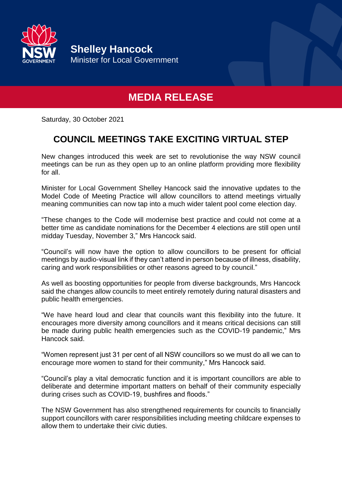

**Shelley Hancock** Minister for Local Government

## **MEDIA RELEASE**

Saturday, 30 October 2021

## **COUNCIL MEETINGS TAKE EXCITING VIRTUAL STEP**

New changes introduced this week are set to revolutionise the way NSW council meetings can be run as they open up to an online platform providing more flexibility for all.

Minister for Local Government Shelley Hancock said the innovative updates to the Model Code of Meeting Practice will allow councillors to attend meetings virtually meaning communities can now tap into a much wider talent pool come election day.

"These changes to the Code will modernise best practice and could not come at a better time as candidate nominations for the December 4 elections are still open until midday Tuesday, November 3," Mrs Hancock said.

"Council's will now have the option to allow councillors to be present for official meetings by audio-visual link if they can't attend in person because of illness, disability, caring and work responsibilities or other reasons agreed to by council."

As well as boosting opportunities for people from diverse backgrounds, Mrs Hancock said the changes allow councils to meet entirely remotely during natural disasters and public health emergencies.

"We have heard loud and clear that councils want this flexibility into the future. It encourages more diversity among councillors and it means critical decisions can still be made during public health emergencies such as the COVID-19 pandemic," Mrs Hancock said.

"Women represent just 31 per cent of all NSW councillors so we must do all we can to encourage more women to stand for their community," Mrs Hancock said.

"Council's play a vital democratic function and it is important councillors are able to deliberate and determine important matters on behalf of their community especially during crises such as COVID-19, bushfires and floods."

The NSW Government has also strengthened requirements for councils to financially support councillors with carer responsibilities including meeting childcare expenses to allow them to undertake their civic duties.